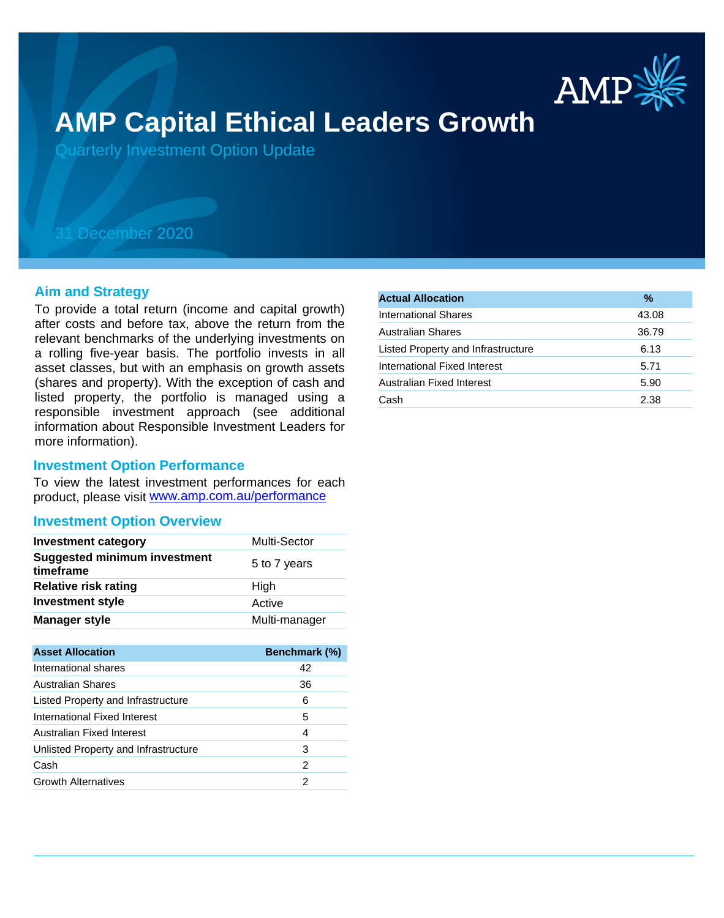

# **AMP Capital Ethical Leaders Growth**

Quarterly Investment Option Update

# 31 December 2020

## **Aim and Strategy**

To provide a total return (income and capital growth) after costs and before tax, above the return from the relevant benchmarks of the underlying investments on a rolling five-year basis. The portfolio invests in all asset classes, but with an emphasis on growth assets (shares and property). With the exception of cash and listed property, the portfolio is managed using a responsible investment approach (see additional information about Responsible Investment Leaders for more information).

## **Investment Option Performance**

product, please visit www.amp.com.au/performance To view the latest investment performances for each

## **Investment Option Overview**

| <b>Investment category</b>                       | <b>Multi-Sector</b> |
|--------------------------------------------------|---------------------|
| <b>Suggested minimum investment</b><br>timeframe | 5 to 7 years        |
| <b>Relative risk rating</b>                      | High                |
| <b>Investment style</b>                          | Active              |
| <b>Manager style</b>                             | Multi-manager       |

| <b>Asset Allocation</b>              | Benchmark (%) |
|--------------------------------------|---------------|
| International shares                 | 42            |
| <b>Australian Shares</b>             | 36            |
| Listed Property and Infrastructure   | 6             |
| International Fixed Interest         | 5             |
| Australian Fixed Interest            | 4             |
| Unlisted Property and Infrastructure | 3             |
| Cash                                 | 2             |
| <b>Growth Alternatives</b>           | 2             |
|                                      |               |

| <b>Actual Allocation</b>           | %     |
|------------------------------------|-------|
| International Shares               | 43.08 |
| <b>Australian Shares</b>           | 36.79 |
| Listed Property and Infrastructure | 6.13  |
| International Fixed Interest       | 5.71  |
| Australian Fixed Interest          | 5.90  |
| Cash                               | 2.38  |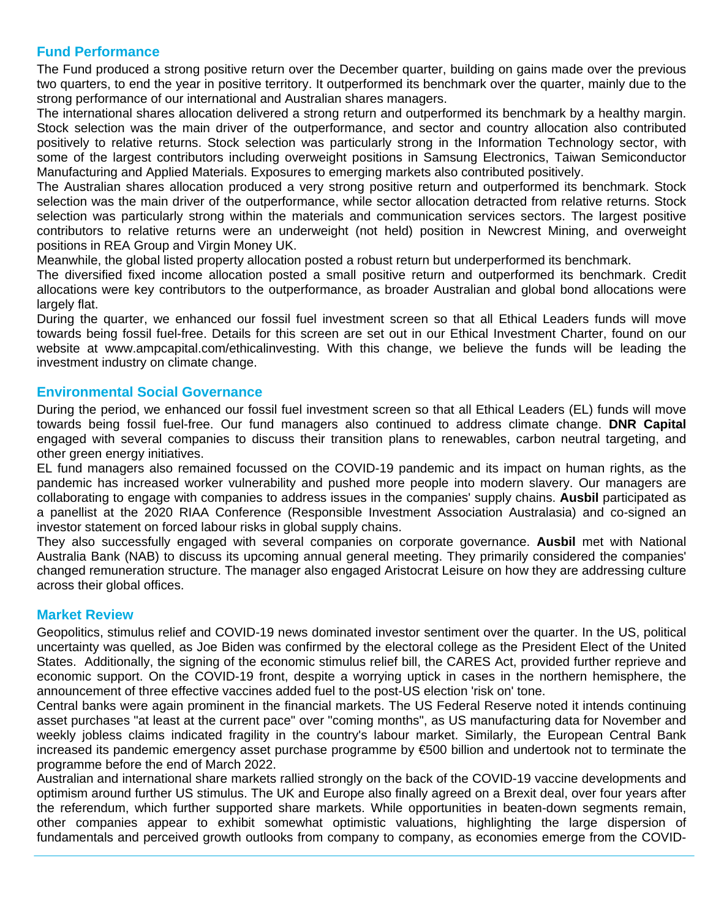# **Fund Performance**

The Fund produced a strong positive return over the December quarter, building on gains made over the previous two quarters, to end the year in positive territory. It outperformed its benchmark over the quarter, mainly due to the strong performance of our international and Australian shares managers.

The international shares allocation delivered a strong return and outperformed its benchmark by a healthy margin. Stock selection was the main driver of the outperformance, and sector and country allocation also contributed positively to relative returns. Stock selection was particularly strong in the Information Technology sector, with some of the largest contributors including overweight positions in Samsung Electronics, Taiwan Semiconductor Manufacturing and Applied Materials. Exposures to emerging markets also contributed positively.

The Australian shares allocation produced a very strong positive return and outperformed its benchmark. Stock selection was the main driver of the outperformance, while sector allocation detracted from relative returns. Stock selection was particularly strong within the materials and communication services sectors. The largest positive contributors to relative returns were an underweight (not held) position in Newcrest Mining, and overweight positions in REA Group and Virgin Money UK.

Meanwhile, the global listed property allocation posted a robust return but underperformed its benchmark.

The diversified fixed income allocation posted a small positive return and outperformed its benchmark. Credit allocations were key contributors to the outperformance, as broader Australian and global bond allocations were largely flat.

During the quarter, we enhanced our fossil fuel investment screen so that all Ethical Leaders funds will move towards being fossil fuel-free. Details for this screen are set out in our Ethical Investment Charter, found on our website at www.ampcapital.com/ethicalinvesting. With this change, we believe the funds will be leading the investment industry on climate change.

# **Environmental Social Governance**

During the period, we enhanced our fossil fuel investment screen so that all Ethical Leaders (EL) funds will move towards being fossil fuel-free. Our fund managers also continued to address climate change. **DNR Capital** engaged with several companies to discuss their transition plans to renewables, carbon neutral targeting, and other green energy initiatives.

EL fund managers also remained focussed on the COVID-19 pandemic and its impact on human rights, as the pandemic has increased worker vulnerability and pushed more people into modern slavery. Our managers are collaborating to engage with companies to address issues in the companies' supply chains. **Ausbil** participated as a panellist at the 2020 RIAA Conference (Responsible Investment Association Australasia) and co-signed an investor statement on forced labour risks in global supply chains.

They also successfully engaged with several companies on corporate governance. **Ausbil** met with National Australia Bank (NAB) to discuss its upcoming annual general meeting. They primarily considered the companies' changed remuneration structure. The manager also engaged Aristocrat Leisure on how they are addressing culture across their global offices.

# **Market Review**

Geopolitics, stimulus relief and COVID-19 news dominated investor sentiment over the quarter. In the US, political uncertainty was quelled, as Joe Biden was confirmed by the electoral college as the President Elect of the United States. Additionally, the signing of the economic stimulus relief bill, the CARES Act, provided further reprieve and economic support. On the COVID-19 front, despite a worrying uptick in cases in the northern hemisphere, the announcement of three effective vaccines added fuel to the post-US election 'risk on' tone.

Central banks were again prominent in the financial markets. The US Federal Reserve noted it intends continuing asset purchases "at least at the current pace" over "coming months", as US manufacturing data for November and weekly jobless claims indicated fragility in the country's labour market. Similarly, the European Central Bank increased its pandemic emergency asset purchase programme by €500 billion and undertook not to terminate the programme before the end of March 2022.

Australian and international share markets rallied strongly on the back of the COVID-19 vaccine developments and optimism around further US stimulus. The UK and Europe also finally agreed on a Brexit deal, over four years after the referendum, which further supported share markets. While opportunities in beaten-down segments remain, other companies appear to exhibit somewhat optimistic valuations, highlighting the large dispersion of fundamentals and perceived growth outlooks from company to company, as economies emerge from the COVID-

19 crisis. Overall, the S&P/ASX 200 index ended the quarter up 13.7%, while the MSCI World ex Australia index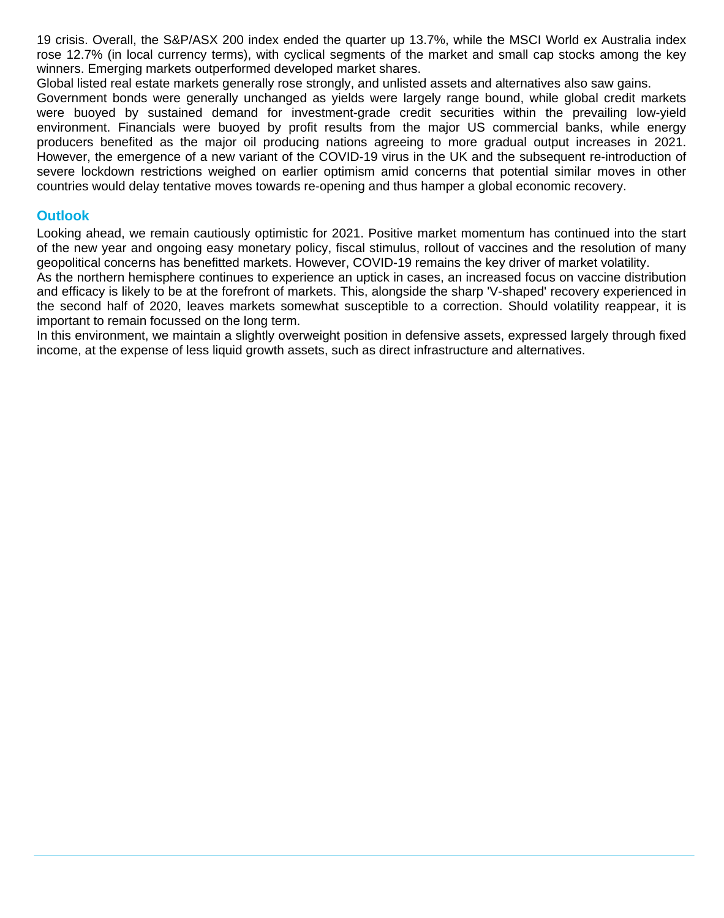19 crisis. Overall, the S&P/ASX 200 index ended the quarter up 13.7%, while the MSCI World ex Australia index rose 12.7% (in local currency terms), with cyclical segments of the market and small cap stocks among the key winners. Emerging markets outperformed developed market shares.

Global listed real estate markets generally rose strongly, and unlisted assets and alternatives also saw gains.

Government bonds were generally unchanged as yields were largely range bound, while global credit markets were buoyed by sustained demand for investment-grade credit securities within the prevailing low-yield environment. Financials were buoyed by profit results from the major US commercial banks, while energy producers benefited as the major oil producing nations agreeing to more gradual output increases in 2021. However, the emergence of a new variant of the COVID-19 virus in the UK and the subsequent re-introduction of severe lockdown restrictions weighed on earlier optimism amid concerns that potential similar moves in other countries would delay tentative moves towards re-opening and thus hamper a global economic recovery.

# **Outlook**

Looking ahead, we remain cautiously optimistic for 2021. Positive market momentum has continued into the start of the new year and ongoing easy monetary policy, fiscal stimulus, rollout of vaccines and the resolution of many geopolitical concerns has benefitted markets. However, COVID-19 remains the key driver of market volatility.

As the northern hemisphere continues to experience an uptick in cases, an increased focus on vaccine distribution and efficacy is likely to be at the forefront of markets. This, alongside the sharp 'V-shaped' recovery experienced in the second half of 2020, leaves markets somewhat susceptible to a correction. Should volatility reappear, it is important to remain focussed on the long term.

In this environment, we maintain a slightly overweight position in defensive assets, expressed largely through fixed income, at the expense of less liquid growth assets, such as direct infrastructure and alternatives.